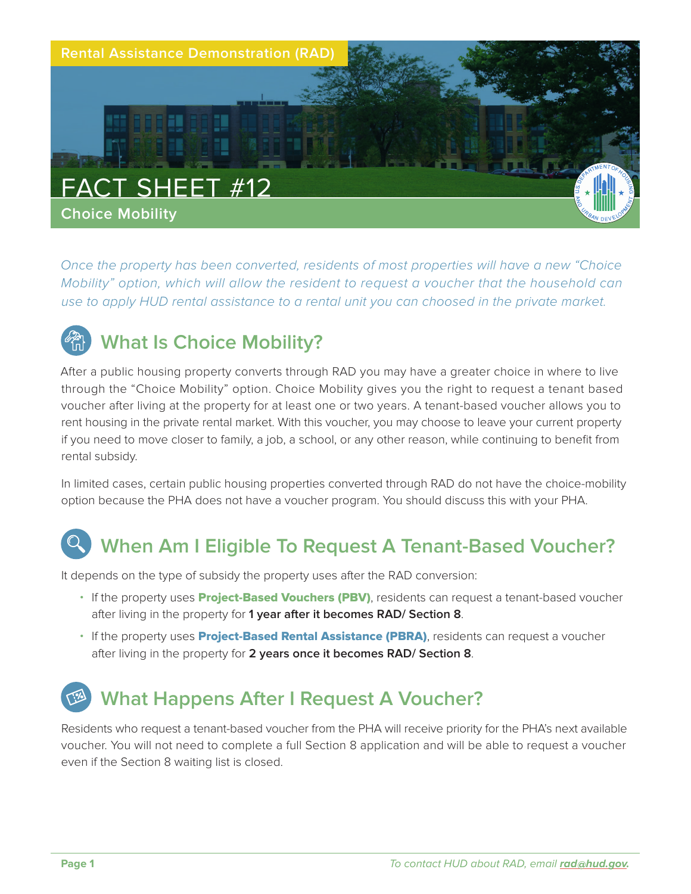

*Once the property has been converted, residents of most properties will have a new "Choice Mobility" option, which will allow the resident to request a voucher that the household can use to apply HUD rental assistance to a rental unit you can choosed in the private market.* 



After a public housing property converts through RAD you may have a greater choice in where to live through the "Choice Mobility" option. Choice Mobility gives you the right to request a tenant based voucher after living at the property for at least one or two years. A tenant-based voucher allows you to rent housing in the private rental market. With this voucher, you may choose to leave your current property if you need to move closer to family, a job, a school, or any other reason, while continuing to benefit from rental subsidy.

In limited cases, certain public housing properties converted through RAD do not have the choice-mobility option because the PHA does not have a voucher program. You should discuss this with your PHA.

## **When Am I Eligible To Request A Tenant-Based Voucher?**

It depends on the type of subsidy the property uses after the RAD conversion:

- If the property uses **Project-Based Vouchers (PBV)**, residents can request a tenant-based voucher after living in the property for **1 year after it becomes RAD/ Section 8**.
- If the property uses **Project-Based Rental Assistance (PBRA)**, residents can request a voucher after living in the property for **2 years once it becomes RAD/ Section 8**.

## **What Happens After I Request A Voucher?**

Residents who request a tenant-based voucher from the PHA will receive priority for the PHA's next available voucher. You will not need to complete a full Section 8 application and will be able to request a voucher even if the Section 8 waiting list is closed.